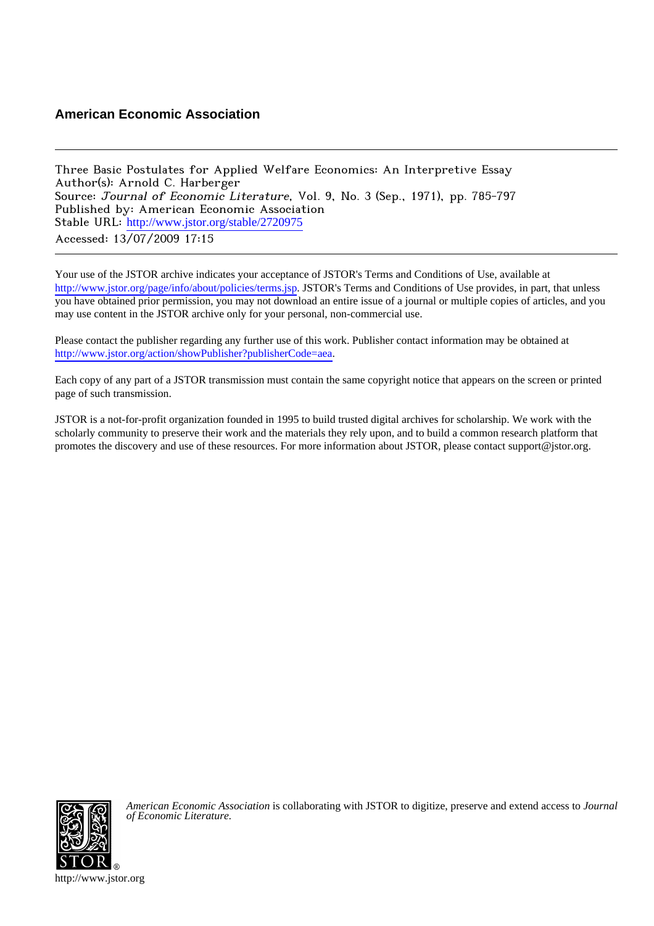# **American Economic Association**

Three Basic Postulates for Applied Welfare Economics: An Interpretive Essay Author(s): Arnold C. Harberger Source: Journal of Economic Literature, Vol. 9, No. 3 (Sep., 1971), pp. 785-797 Published by: American Economic Association Stable URL: [http://www.jstor.org/stable/2720975](http://www.jstor.org/stable/2720975?origin=JSTOR-pdf) Accessed: 13/07/2009 17:15

Your use of the JSTOR archive indicates your acceptance of JSTOR's Terms and Conditions of Use, available at <http://www.jstor.org/page/info/about/policies/terms.jsp>. JSTOR's Terms and Conditions of Use provides, in part, that unless you have obtained prior permission, you may not download an entire issue of a journal or multiple copies of articles, and you may use content in the JSTOR archive only for your personal, non-commercial use.

Please contact the publisher regarding any further use of this work. Publisher contact information may be obtained at <http://www.jstor.org/action/showPublisher?publisherCode=aea>.

Each copy of any part of a JSTOR transmission must contain the same copyright notice that appears on the screen or printed page of such transmission.

JSTOR is a not-for-profit organization founded in 1995 to build trusted digital archives for scholarship. We work with the scholarly community to preserve their work and the materials they rely upon, and to build a common research platform that promotes the discovery and use of these resources. For more information about JSTOR, please contact support@jstor.org.



*American Economic Association* is collaborating with JSTOR to digitize, preserve and extend access to *Journal of Economic Literature.*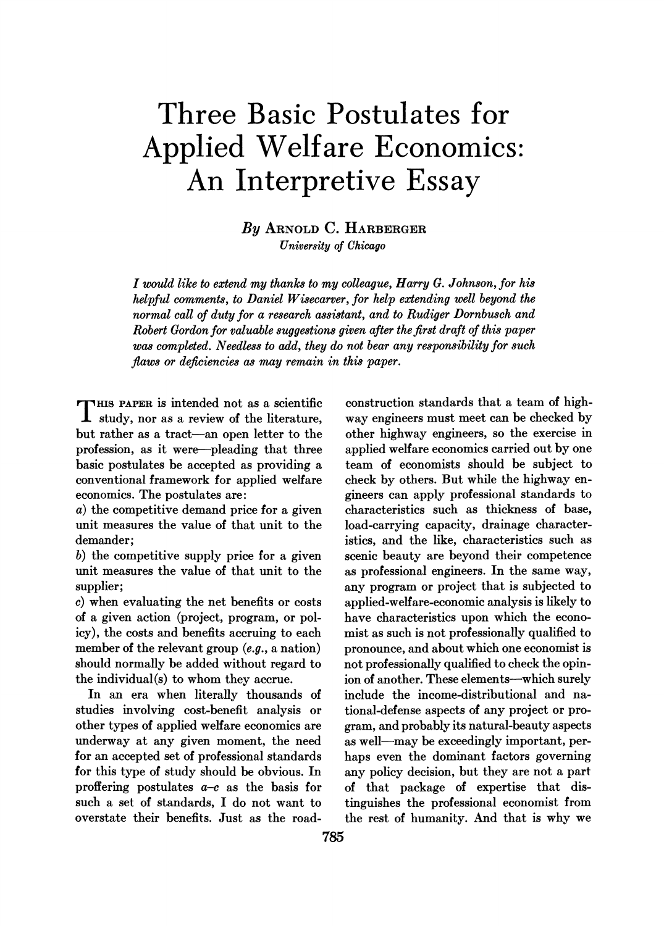# **Three Basic Postulates for Applied Welfare Economics: An Interpretive Essay**

**By ARNOLD C. HARBERGER University of Chicago** 

**I would like to extend my thanks to my colleague, Harry G. Johnson, for hi8 helpful comments, to Daniel Wisecarver, for help extending well beyond the normal call of duty for a research assistant, and to Rudiger Dornbusch and Robert Gordon for valuable suggestions given after the first draft of this paper was completed. Needless to add, they do not bear any responsibility for such flaws or deficiencies as may remain in this paper.** 

**THIS PAPER iS intended not as a scientific study, nor as a review of the literature, but rather as a tract-an open letter to the profession, as it were-pleading that three basic postulates be accepted as providing a conventional framework for applied welfare economics. The postulates are:** 

**a) the competitive demand price for a given unit measures the value of that unit to the demander;** 

**b) the competitive supply price for a given unit measures the value of that unit to the supplier;** 

**c) when evaluating the net benefits or costs of a given action (project, program, or policy), the costs and benefits accruing to each member of the relevant group (e.g., a nation) should normally be added without regard to the individual(s) to whom they accrue.** 

**In an era when literally thousands of studies involving cost-benefit analysis or other types of applied welfare economics are underway at any given moment, the need for an accepted set of professional standards for this type of study should be obvious. In proffering postulates a-c as the basis for such a set of standards, I do not want to overstate their benefits. Just as the road-**

**construction standards that a team of highway engineers must meet can be checked by other highway engineers, so the exercise in applied welfare economics carried out by one team of economists should be subject to check by others. But while the highway engineers can apply professional standards to characteristics such as thickness of base, load-carrying capacity, drainage characteristics, and the like, characteristics such as scenic beauty are beyond their competence as professional engineers. In the same way, any program or project that is subjected to applied-welfare-economic analysis is likely to have characteristics upon which the economist as such is not professionally qualified to pronounce, and about which one economist is not professionally qualified to check the opinion of another. These elements-which surely include the income-distributional and national-defense aspects of any project or program, and probably its natural-beauty aspects as well-may be exceedingly important, perhaps even the dominant factors governing any policy decision, but they are not a part of that package of expertise that distinguishes the professional economist from the rest of humanity. And that is why we**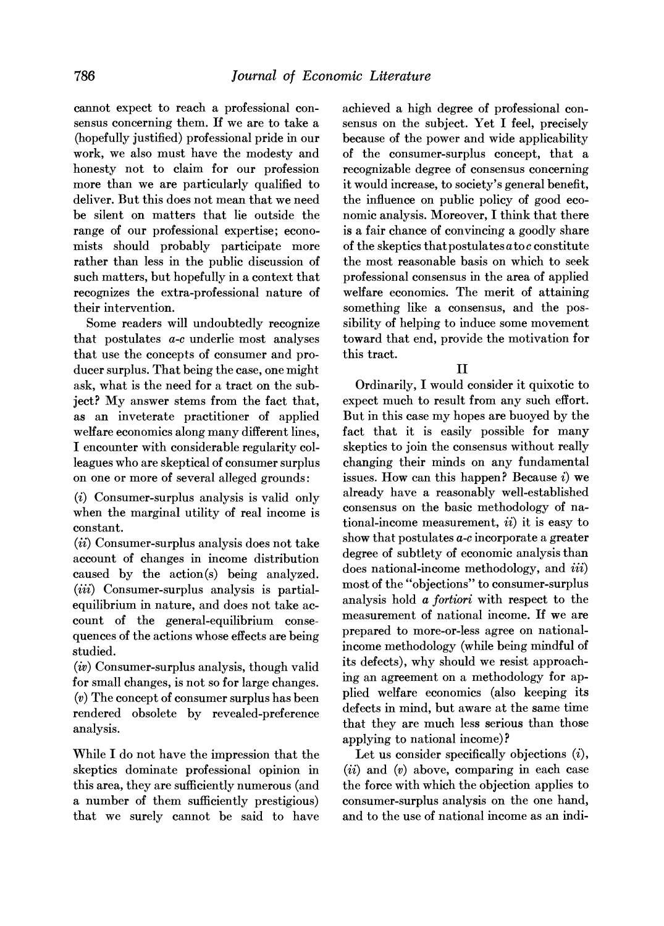**cannot expect to reach a professional consensus concerning them. If we are to take a (hopefully justified) professional pride in our work, we also must have the modesty and honesty not to claim for our profession more than we are particularly qualified to deliver. But this does not mean that we need be silent on matters that lie outside the range of our professional expertise; economists should probably participate more rather than less in the public discussion of such matters, but hopefully in a context that recognizes the extra-professional nature of their intervention.** 

**Some readers will undoubtedly recognize that postulates a-c underlie most analyses that use the concepts of consumer and producer surplus. That being the case, one might ask, what is the need for a tract on the subject? My answer stems from the fact that, as an inveterate practitioner of applied welfare economics along many different lines, I encounter with considerable regularity colleagues who are skeptical of consumer surplus on one or more of several alleged grounds:** 

**(i) Consumer-surplus analysis is valid only when the marginal utility of real income is constant.** 

**(ii) Consumer-surplus analysis does not take account of changes in income distribution caused by the action(s) being analyzed. (iii) Consumer-surplus analysis is partialequilibrium in nature, and does not take account of the general-equilibrium consequences of the actions whose effects are being studied.** 

**(iv) Consumer-surplus analysis, though valid for small changes, is not so for large changes. (v) The concept of consumer surplus has been rendered obsolete by revealed-preference analysis.** 

**While I do not have the impression that the skeptics dominate professional opinion in this area, they are sufficiently numerous (and a number of them sufficiently prestigious) that we surely cannot be said to have** 

**achieved a high degree of professional consensus on the subject. Yet I feel, precisely because of the power and wide applicability of the consumer-surplus concept, that a recognizable degree of consensus concerning it would increase, to society's general benefit, the influence on public policy of good economic analysis. Moreover, I think that there is a fair chance of convincing a goodly share of the skeptics thatpostulatesatoc constitute the most reasonable basis on which to seek professional consensus in the area of applied welfare economics. The merit of attaining something like a consensus, and the possibility of helping to induce some movement toward that end, provide the motivation for this tract.** 

## **II**

**Ordinarily, I would consider it quixotic to expect much to result from any such effort. But in this case my hopes are buoyed by the fact that it is easily possible for many skeptics to join the consensus without really changing their minds on any fundamental issues. How can this happen? Because i) we already have a reasonably well-established consensus on the basic methodology of national-income measurement, ii) it is easy to show that postulates a-c incorporate a greater degree of subtlety of economic analysis than does national-income methodology, and iii) most of the "objections" to consumer-surplus analysis hold a fortiori with respect to the measurement of national income. If we are prepared to more-or-less agree on nationalincome methodology (while being mindful of its defects), why should we resist approaching an agreement on a methodology for applied welfare economics (also keeping its defects in mind, but aware at the same time that they are much less serious than those applying to national income)?** 

**Let us consider specifically objections (i), (ii) and (v) above, comparing in each case the force with which the objection applies to consumer-surplus analysis on the one hand, and to the use of national income as an indi-**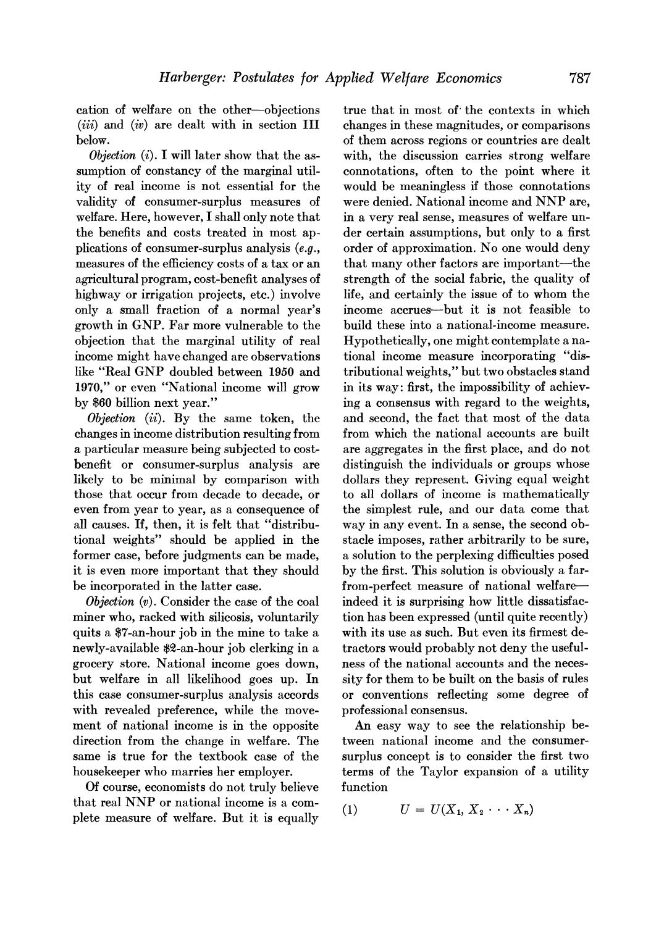**cation of welfare on the other-objections (iii) and (iv) are dealt with in section III below.** 

**Objection (i). I will later show that the assumption of constancy of the marginal utility of real income is not essential for the validity of consumer-surplus measures of welfare. Here, however, I shall only note that the benefits and costs treated in most applications of consumer-surplus analysis (e.g., measures of the efficiency costs of a tax or an agricultural program, cost-benefit analyses of highway or irrigation projects, etc.) involve only a small fraction of a normal year's growth in GNP. Far more vulnerable to the objection that the marginal utility of real income might have changed are observations like "Real GNP doubled between 1950 and 1970," or even "National income will grow by \$60 billion next year."** 

**Objection (ii). By the same token, the changes in income distribution resulting from a particular measure being subjected to costbenefit or consumer-surplus analysis are likely to be minimal by comparison with those that occur from decade to decade, or even from year to year, as a consequence of all causes. If, then, it is felt that "distributional weights" should be applied in the former case, before judgments can be made, it is even more important that they should be incorporated in the latter case.** 

**Objection (v). Consider the case of the coal miner who, racked with silicosis, voluntarily quits a \$7-an-hour job in the mine to take a newly-available \$2-an-hour job clerking in a grocery store. National income goes down, but welfare in all likelihood goes up. In this case consumer-surplus analysis accords with revealed preference, while the movement of national income is in the opposite direction from the change in welfare. The same is true for the textbook case of the housekeeper who marries her employer.** 

**Of course, economists do not truly believe that real NNP or national income is a complete measure of welfare. But it is equally** 

**true that in most of the contexts in which changes in these magnitudes, or comparisons of them across regions or countries are dealt with, the discussion carries strong welfare connotations, often to the point where it would be meaningless if those connotations were denied. National income and NNP are, in a very real sense, measures of welfare under certain assumptions, but only to a first order of approximation. No one would deny that many other factors are important-the strength of the social fabric, the quality of life, and certainly the issue of to whom the income accrues-but it is not feasible to build these into a national-income measure. Hypothetically, one might contemplate a national income measure incorporating "distributional weights," but two obstacles stand in its way: first, the impossibility of achieving a consensus with regard to the weights, and second, the fact that most of the data from which the national accounts are built are aggregates in the first place, and do not distinguish the individuals or groups whose dollars they represent. Giving equal weight to all dollars of income is mathematically the simplest rule, and our data come that way in any event. In a sense, the second obstacle imposes, rather arbitrarily to be sure, a solution to the perplexing difficulties posed by the first. This solution is obviously a farfrom-perfect measure of national welfareindeed it is surprising how little dissatisfaction has been expressed (until quite recently) with its use as such. But even its firmest detractors would probably not deny the usefulness of the national accounts and the necessity for them to be built on the basis of rules or conventions reflecting some degree of professional consensus.** 

**An easy way to see the relationship between national income and the consumersurplus concept is to consider the first two terms of the Taylor expansion of a utility function** 

$$
(1) \hspace{1cm} U = U(X_1, X_2 \cdot \cdot \cdot X_n)
$$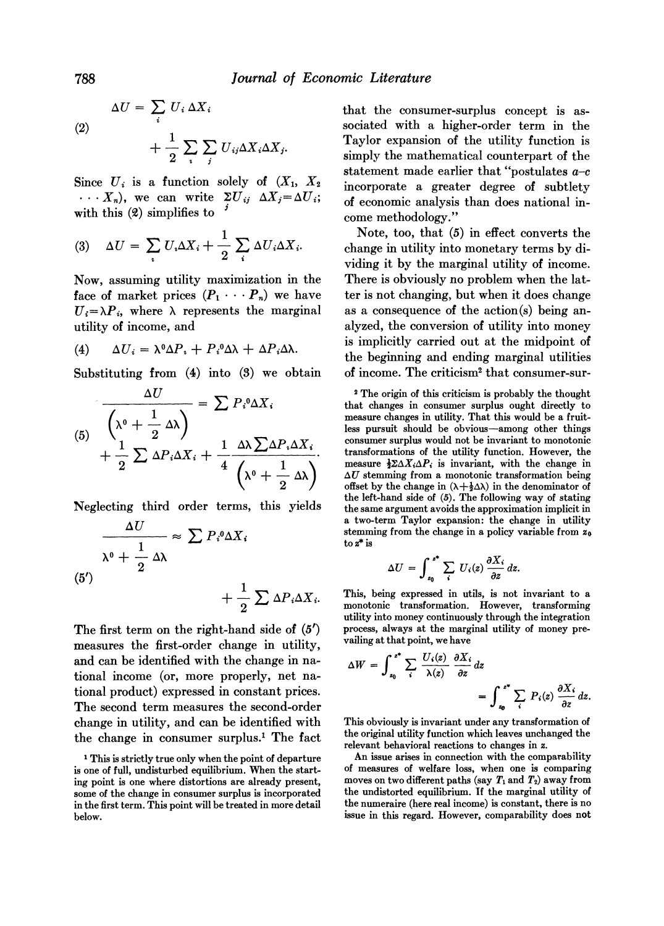**(2)** 

$$
+ \, \frac{1}{2} \, \sum_{i} \, \sum_{j} \, U_{ij} \Delta X_i \Delta X_j.
$$

 $\Delta U = \sum U_i \, \Delta X_i$ 

Since  $U_i$  is a function solely of  $(X_1, X_2)$  $\cdots X_n$ , we can write  $\sum U_{ij} \Delta X_j = \Delta U_i$ ; with this  $(2)$  simplifies to

$$
(3) \quad \Delta U = \sum_{i} U_{i} \Delta X_{i} + \frac{1}{2} \sum_{i} \Delta U_{i} \Delta X_{i}.
$$

**Now, assuming utility maximization in the**  face of market prices  $(P_1 \cdots P_n)$  we have  $U_i=\lambda P_i$ , where  $\lambda$  represents the marginal **utility of income, and** 

(4) 
$$
\Delta U_i = \lambda^0 \Delta P_i + P_i{}^0 \Delta \lambda + \Delta P_i \Delta \lambda.
$$

**Substituting from (4) into (3) we obtain** 

$$
(5)\quad \frac{\Delta U}{\left(\lambda^0 + \frac{1}{2}\Delta\lambda\right)} = \sum P_i^0 \Delta X_i
$$
\n
$$
+ \frac{1}{2}\sum \Delta P_i \Delta X_i + \frac{1}{4}\frac{\Delta\lambda \sum \Delta P_i \Delta X_i}{\left(\lambda^0 + \frac{1}{2}\Delta\lambda\right)}
$$

**Neglecting third order terms, this yields** 

$$
\frac{\Delta U}{\lambda^0 + \frac{1}{2} \Delta \lambda} \approx \sum P_i^0 \Delta X_i
$$
  
(5')  

$$
+ \frac{1}{2} \sum \Delta P_i \Delta X_i.
$$

**The first term on the right-hand side of (5') measures the first-order change in utility, and can be identified with the change in national income (or, more properly, net national product) expressed in constant prices. The second term measures the second-order change in utility, and can be identified with the change in consumer surplus.' The fact**  **that the consumer-surplus concept is associated with a higher-order term in the Taylor expansion of the utility function is simply the mathematical counterpart of the statement made earlier that "postulates a-c incorporate a greater degree of subtlety of economic analysis than does national income methodology."** 

**Note, too, that (5) in effect converts the change in utility into monetary terms by dividing it by the marginal utility of income. There is obviously no problem when the latter is not changing, but when it does change as a consequence of the action(s) being analyzed, the conversion of utility into money is implicitly carried out at the midpoint of the beginning and ending marginal utilities of income. The criticism2 that consumer-sur-**

**<sup>2</sup>The origin of this criticism is probably the thought that changes in consumer surplus ought directly to measure changes in utility. That this would be a fruitless pursuit should be obvious-among other things consumer surplus would not be invariant to monotonic transformations of the utility function. However, the measure**  $\frac{1}{2} \Sigma \Delta X_i \Delta P_i$  **is invariant, with the change in AU stemming from a monotonic transformation being**  offset by the change in  $(\lambda + \frac{1}{2}\Delta\lambda)$  in the denominator of **the left-hand side of (5). The following way of stating the same argument avoids the approximation implicit in a two-term Taylor expansion: the change in utility stemming from the change in a policy variable from zo to z\* is** 

$$
\Delta U = \int_{z_0}^{z^*} \sum_i U_i(z) \frac{\partial X_i}{\partial z} dz.
$$

**This, being expressed in utils, is not invariant to a monotonic transformation. However, transforming utility into money continuously through the integration process, always at the marginal utility of money prevailing at that point, we have** 

$$
\Delta W = \int_{z_0}^{z^*} \sum_i \frac{U_i(z)}{\lambda(z)} \frac{\partial X_i}{\partial z} dz = \int_{z_0}^{z^*} \sum_i P_i(z) \frac{\partial X_i}{\partial z} dz.
$$

**This obviously is invariant under any transformation of the original utility function which leaves unchanged the relevant behavioral reactions to changes in z.** 

**An issue arises in connection with the comparability of measures of welfare loss, when one is comparing**  moves on two different paths (say  $T_1$  and  $T_2$ ) away from **the undistorted equilibrium. If the marginal utility of the numeraire (here real income) is constant, there is no issue in this regard. However, comparability does not** 

**788** 

**<sup>1</sup> This is strictly true only when the point of departure is one of full, undisturbed equilibrium. When the starting point is one where distortions are already present, some of the change in consumer surplus is incorporated in the first term. This point will be treated in more detail below.**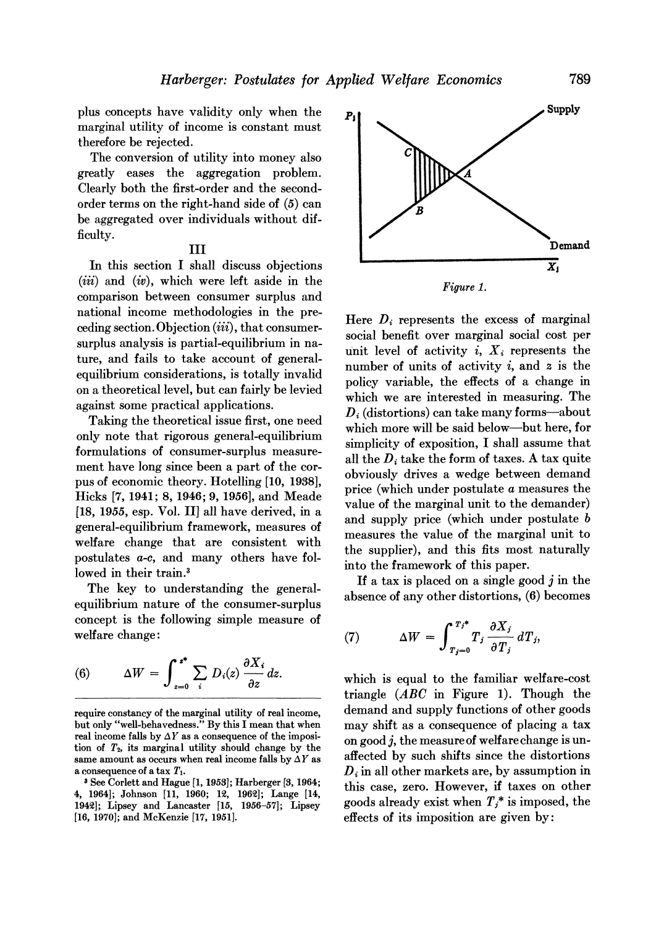**plus concepts have validity only when the marginal utility of income is constant must therefore be rejected.** 

**The conversion of utility into money also greatly eases the aggregation problem. Clearly both the first-order and the secondorder terms on the right-hand side of (5) can be aggregated over individuals without difficulty.** 

#### **III**

**In this section I shall discuss objections**  (*iii*) and (*iv*), which were left aside in the **comparison between consumer surplus and national income methodologies in the preceding section. Objection (iii), that consumersurplus analysis is partial-equilibrium in nature, and fails to take account of generalequilibrium considerations, is totally invalid on a theoretical level, but can fairly be levied against some practical applications.** 

**Taking the theoretical issue first, one need only note that rigorous general-equilibrium formulations of consumer-surplus measurement have long since been a part of the corpus of economic theory. Hotelling [10, 1938], Hicks [7, 1941; 8, 1946; 9, 1956], and Meade [18, 1955, esp. Vol. II] all have derived, in a general-equilibrium framework, measures of welfare change that are consistent with postulates a-c, and many others have followed in their train.3** 

**The key to understanding the generalequilibrium nature of the consumer-surplus concept is the following simple measure of welfare change:** 

(6) 
$$
\Delta W = \int_{z=0}^{z^*} \sum_i D_i(z) \frac{\partial X_i}{\partial z} dz.
$$

**require constancy of the marginal utility of real income, but only "well-behavedness." By this I mean that when**  real income falls by  $\Delta Y$  as a consequence of the imposi**tion of T2, its marginal utility should change by the**  same amount as occurs when real income falls by  $\Delta Y$  as **a consequence of a tax T1.** 

**3 See Corlett and Hague [1, 1953]; Harberger [8, 1964;**  4, 1964]; Johnson [11, 1960; 12, 1962]; Lange [14, **1942]; Lipsey and Lancaster [15, 1956-57]; Lipsey [16, 1970]; and McKenzie [17, 1951].** 



Here  $D_i$  represents the excess of marginal **social benefit over marginal social cost per**  unit level of activity *i*,  $X_i$  represents the **number of units of activity i, and z is the policy variable, the effects of a change in which we are interested in measuring. The**   $D_i$  (distortions) can take many **forms**—about **which more will be said below-but here, for simplicity of exposition, I shall assume that**  all the  $D_i$  take the form of taxes. A tax quite **obviously drives a wedge between demand price (which under postulate a measures the value of the marginal unit to the demander) and supply price (which under postulate b measures the value of the marginal unit to the supplier), and this fits most naturally into the framework of this paper.** 

**If a tax is placed on a single good j in the absence of any other distortions, (6) becomes** 

(7) 
$$
\Delta W = \int_{T_{j=0}}^{T_{j}^{*}} T_{j} \frac{\partial X_{j}}{\partial T_{j}} dT_{j},
$$

**which is equal to the familiar welfare-cost triangle (ABC in Figure 1). Though the demand and supply functions of other goods may shift as a consequence of placing a tax on good j, the measure of welfare change is unaffected by such shifts since the distortions**   $D_i$  in all other markets are, by assumption in **this case, zero. However, if taxes on other**  goods already exist when  $T_i^*$  is imposed, the **effects of its imposition are given by:**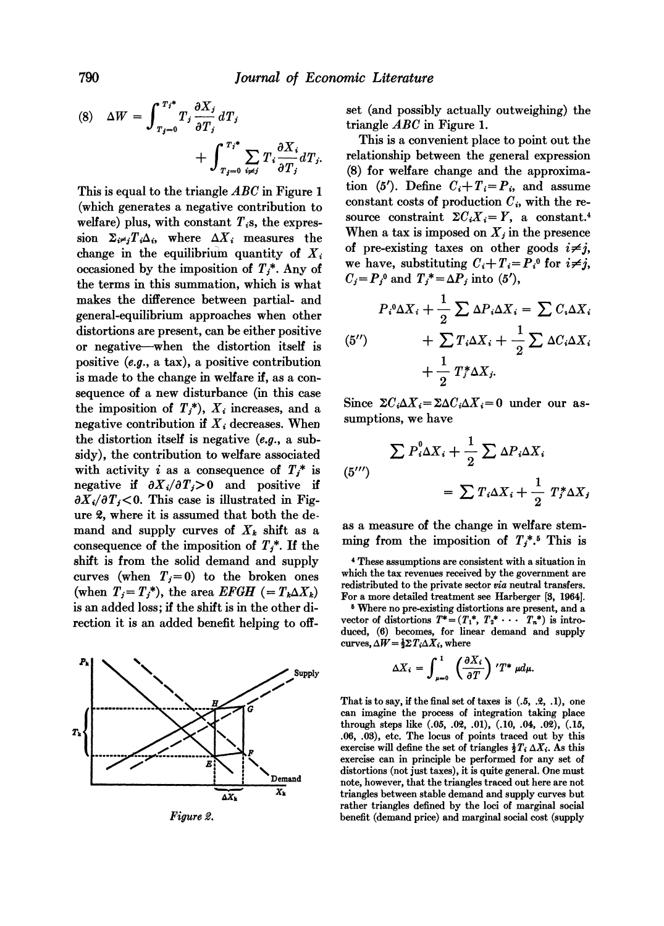(8) 
$$
\Delta W = \int_{T_j=0}^{T_j^*} T_j \frac{\partial X_j}{\partial T_j} dT_j + \int_{T_j=0}^{T_j^*} \sum_{i \neq j} T_i \frac{\partial X_i}{\partial T_j} dT_j.
$$

**This is equal to the triangle ABC in Figure 1 (which generates a negative contribution to**  welfare) plus, with constant  $T_i$ s, the expression  $\Sigma_{i \neq j} T_i \Delta_i$ , where  $\Delta X_i$  measures the change in the equilibrium quantity of  $X_i$ occasioned by the imposition of  $T_i^*$ . Any of **the terms in this summation, which is what makes the difference between partial- and general-equilibrium approaches when other distortions are present, can be either positive or negative-when the distortion itself is positive (e.g., a tax), a positive contribution is made to the change in welfare if, as a consequence of a new disturbance (in this case**  the imposition of  $T_j^*$ ),  $X_i$  increases, and a negative contribution if  $X_i$  decreases. When **the distortion itself is negative (e.g., a subsidy), the contribution to welfare associated**  with activity i as a consequence of  $T_i^*$  is **negative if**  $\partial X_i/\partial T_j>0$  **and positive if**  $\partial X_i/\partial T_i$ <0. This case is illustrated in Fig**ure 2, where it is assumed that both the de**mand and supply curves of  $X_k$  shift as a consequence of the imposition of  $T_j^*$ . If the **shift is from the solid demand and supply**  curves (when  $T_i=0$ ) to the broken ones (when  $T_i = T_i^*$ ), the area *EFGH* (=  $T_k \Delta X_k$ ) **is an added loss; if the shift is in the other direction it is an added benefit helping to off-**



**Figure 2.** 

**set (and possibly actually outweighing) the triangle ABC in Figure 1.** 

**This is a convenient place to point out the relationship between the general expression (8) for welfare change and the approxima**tion (5'). Define  $C_i+T_i=P_i$ , and assume constant costs of production  $C_i$ , with the resource constraint  $\Sigma C_i X_i = Y$ , a constant.<sup>4</sup> When a tax is imposed on  $X_j$  in the presence of pre-existing taxes on other goods  $i \neq j$ , we have, substituting  $C_i+T_i=P_i^0$  for  $i\neq j$ ,  $C_j = P_j^0$  and  $T_j^* = \Delta P_j$  into (5'),

$$
P_i^0 \Delta X_i + \frac{1}{2} \sum \Delta P_i \Delta X_i = \sum C_i \Delta X_i
$$
  
(5'') 
$$
+ \sum T_i \Delta X_i + \frac{1}{2} \sum \Delta C_i \Delta X_i
$$

$$
+ \frac{1}{2} T_j^* \Delta X_j.
$$

Since  $\Sigma C_i \Delta X_i = \Sigma \Delta C_i \Delta X_i = 0$  under our as**sumptions, we have** 

$$
\sum P_i^0 \Delta X_i + \frac{1}{2} \sum \Delta P_i \Delta X_i
$$

$$
= \sum T_i \Delta X_i + \frac{1}{2} T_i^* \Delta X_i
$$

**as a measure of the change in welfare stem**ming from the imposition of  $T_j^*$ .<sup>5</sup> This is

**<sup>4</sup>These assumptions are consistent with a situation in which the tax revenues received by the government are redistributed to the private sector via neutral transfers. For a more detailed treatment see Harberger [3, 1964].** 

**6 Where no pre-existing distortions are present, and a**  vector of distortions  $T^* = (T_1^*, T_2^* \cdots T_n^*)$  is intro**duced, (6) becomes, for linear demand and supply**  curves,  $\Delta W = \frac{1}{2} \Sigma T_i \Delta X_i$ , where

$$
\Delta X_i = \int_{\mu=0}^1 \left( \frac{\partial X_i}{\partial T} \right)' T^* \mu d\mu.
$$

That is to say, if the final set of taxes is  $(.5, .2, .1)$ , one **can imagine the process of integration taking place through steps like (.05, .02, .01), (.10, .04, .02), (.15, .06, .03), etc. The locus of points traced out by this**  exercise will define the set of triangles  $\frac{1}{2}T_i \Delta X_i$ . As this **exercise can in principle be performed for any set of distortions (not just taxes), it is quite general. One must note, however, that the triangles traced out here are not triangles between stable demand and supply curves but rather triangles defined by the loci of marginal social benefit (demand price) and marginal social cost (supply**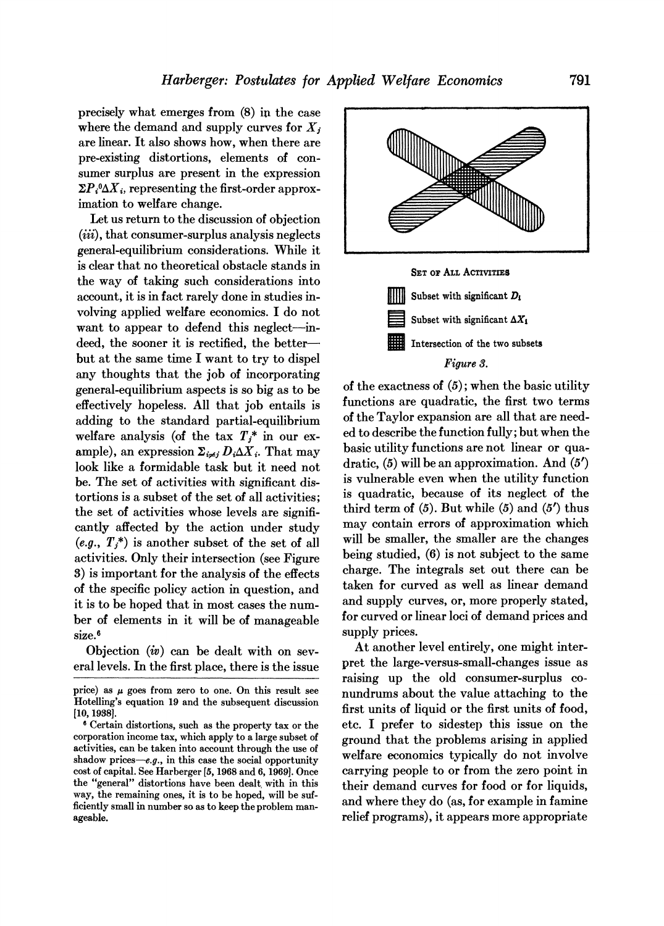**precisely what emerges from (8) in the case**  where the demand and supply curves for  $X_i$ **are linear. It also shows how, when there are pre-existing distortions, elements of consumer surplus are present in the expression**   $\Sigma P_i^0 \Delta X_i$ , representing the first-order approx**imation to welfare change.** 

**Let us return to the discussion of objection (iii), that consumer-surplus analysis neglects general-equilibrium considerations. While it is clear that no theoretical obstacle stands in the way of taking such considerations into account, it is in fact rarely done in studies involving applied welfare economics. I do not**  want to appear to defend this neglect-indeed, the sooner it is rectified, the better**but at the same time I want to try to dispel any thoughts that the job of incorporating general-equilibrium aspects is so big as to be effectively hopeless. All that job entails is adding to the standard partial-equilibrium**  welfare analysis (of the tax  $T_j^*$  in our example), an expression  $\Sigma_{i\neq j} D_i \Delta X_i$ . That may **look like a formidable task but it need not be. The set of activities with significant distortions is a subset of the set of all activities; the set of activities whose levels are significantly affected by the action under study**   $(e.g., T^*_i)$  is another subset of the set of all **activities. Only their intersection (see Figure 3) is important for the analysis of the effects of the specific policy action in question, and it is to be hoped that in most cases the number of elements in it will be of manageable size.6** 

**Objection (iv) can be dealt with on several levels. In the first place, there is the issue** 



**of the exactness of (5); when the basic utility functions are quadratic, the first two terms of the Taylor expansion are all that are needed to describe the function fully; but when the basic utility functions are not linear or quadratic, (5) will be an approximation. And (5') is vulnerable even when the utility function is quadratic, because of its neglect of the third term of (5). But while (5) and (5') thus may contain errors of approximation which will be smaller, the smaller are the changes being studied, (6) is not subject to the same charge. The integrals set out there can be taken for curved as well as linear demand and supply curves, or, more properly stated, for curved or linear loci of demand prices and supply prices.** 

**At another level entirely, one might interpret the large-versus-small-changes issue as raising up the old consumer-surplus conundrums about the value attaching to the first units of liquid or the first units of food, etc. I prefer to sidestep this issue on the ground that the problems arising in applied welfare economics typically do not involve carrying people to or from the zero point in their demand curves for food or for liquids, and where they do (as, for example in famine relief programs), it appears more appropriate** 

price) as  $\mu$  goes from zero to one. On this result see **Hotelling's equation 19 and the subsequent discussion [10,1938].** 

**<sup>6</sup> Certain distortions, such as the property tax or the corporation income tax, which apply to a large subset of activities, can be taken into account through the use of shadow prices-e.g., in this case the social opportunity cost of capital. See Harberger [5, 1968 and 6, 1969]. Once the "general" distortions have been dealt, with in this way, the remaining ones, it is to be hoped, will be sufficiently small in number so as to keep the problem manageable.**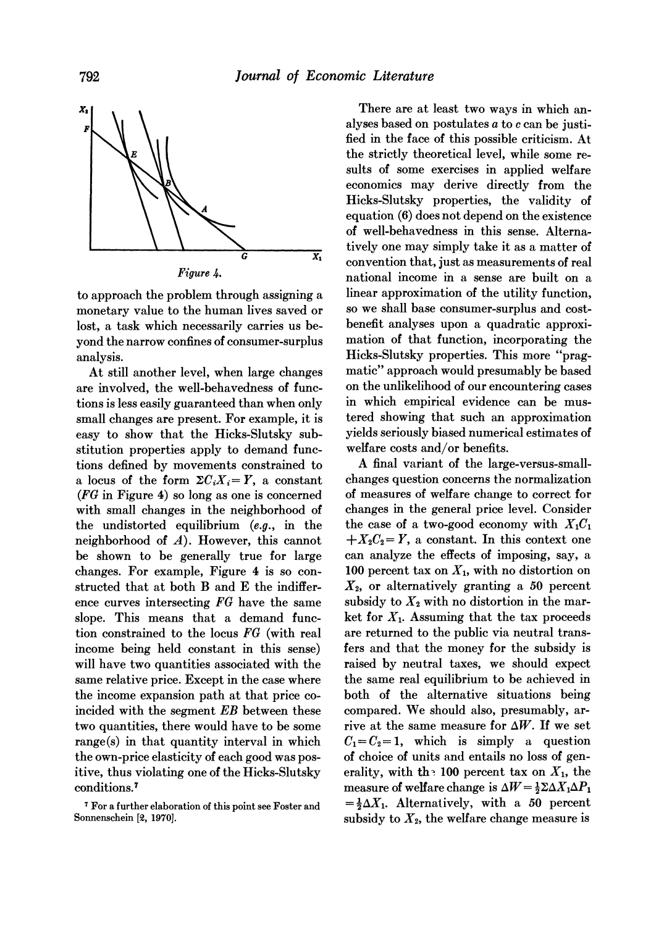

**to approach the problem through assigning a monetary value to the human lives saved or lost, a task which necessarily carries us beyond the narrow confines of consumer-surplus analysis.** 

**At still another level, when large changes are involved, the well-behavedness of functions is less easily guaranteed than when only small changes are present. For example, it is easy to show that the Hicks-Slutsky substitution properties apply to demand functions defined by movements constrained to**  a locus of the form  $\Sigma C_i X_i = Y$ , a constant **(FO in Figure 4) so long as one is concerned with small changes in the neighborhood of the undistorted equilibrium (e.g., in the neighborhood of A). However, this cannot be shown to be generally true for large changes. For example, Figure 4 is so constructed that at both B and E the indifference curves intersecting FG have the same slope. This means that a demand function constrained to the locus FG (with real income being held constant in this sense) will have two quantities associated with the same relative price. Except in the case where the income expansion path at that price coincided with the segment EB between these two quantities, there would have to be some range(s) in that quantity interval in which the own-price elasticity of each good was positive, thus violating one of the Hicks-Slutsky conditions.7** 

**There are at least two ways in which analyses based on postulates a to c can be justified in the face of this possible criticism. At the strictly theoretical level, while some results of some exercises in applied welfare economics may derive directly from the Hicks-Slutsky properties, the validity of equation (6) does not depend on the existence of well-behavedness in this sense. Alternatively one may simply take it as a matter of convention that, just as measurements of real national income in a sense are built on a linear approximation of the utility function, so we shall base consumer-surplus and costbenefit analyses upon a quadratic approximation of that function, incorporating the Hicks-Slutsky properties. This more "pragmatic" approach would presumably be based on the unlikelihood of our encountering cases in which empirical evidence can be mustered showing that such an approximation yields seriously biased numerical estimates of welfare costs and/or benefits.** 

**A final variant of the large-versus-smallchanges question concerns the normalization of measures of welfare change to correct for changes in the general price level. Consider**  the case of a two-good economy with  $X_1C_1$  $+X_2C_2 = Y$ , a constant. In this context one **can analyze the effects of imposing, say, a 100 percent tax on X1, with no distortion on X2, or alternatively granting a 50 percent**  subsidy to  $X_2$  with no distortion in the mar- $\text{ket for } X_1$ . Assuming that the tax proceeds **are returned to the public via neutral transfers and that the money for the subsidy is raised by neutral taxes, we should expect the same real equilibrium to be achieved in both of the alternative situations being compared. We should also, presumably, ar**rive at the same measure for  $\Delta W$ . If we set  $C_1 = C_2 = 1$ , which is simply a question **of choice of units and entails no loss of gen**erality, with the 100 percent tax on  $X_1$ , the measure of welfare change is  $\Delta W = \frac{1}{2} \Sigma \Delta X_1 \Delta P_1$  $=\frac{1}{2}\Delta X_1$ . Alternatively, with a 50 percent subsidy to  $X_2$ , the welfare change measure is

**<sup>7</sup>For a further elaboration of this point see Foster and Sonnenschein [2, 1970].**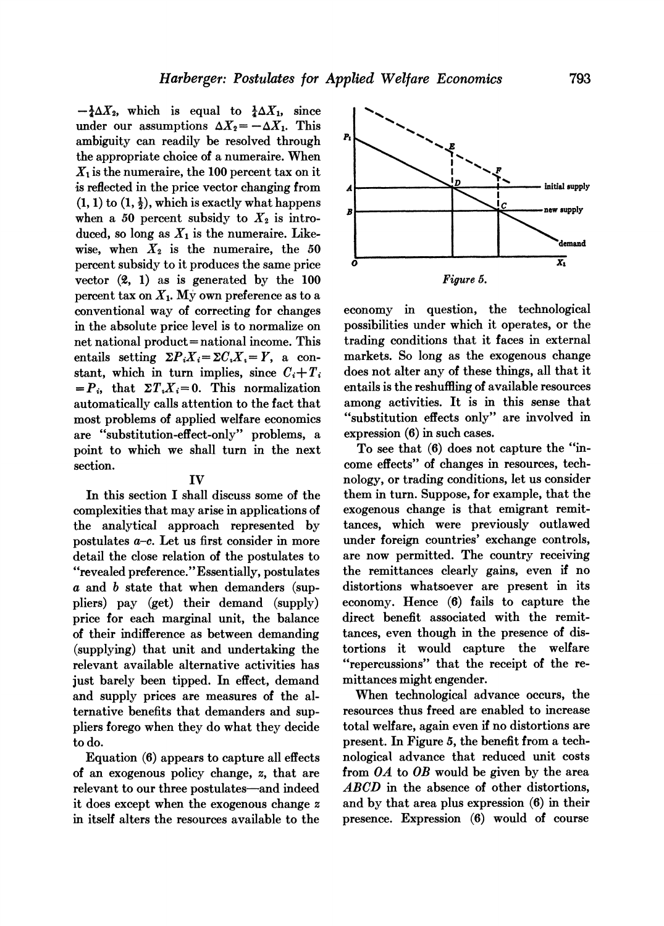$-\frac{1}{4}\Delta X_2$ , which is equal to  $\frac{1}{4}\Delta X_1$ , since **under our assumptions**  $\Delta X_2 = -\Delta X_1$ **. This ambiguity can readily be resolved through the appropriate choice of a numeraire. When**   $X<sub>1</sub>$  is the numeraire, the 100 percent tax on it **is reflected in the price vector changing from**   $(1, 1)$  to  $(1, \frac{1}{2})$ , which is exactly what happens when a 50 percent subsidy to  $X_2$  is introduced, so long as  $X_1$  is the numeraire. Likewise, when  $X_2$  is the numeraire, the  $50$ **percent subsidy to it produces the same price vector (2, 1) as is generated by the 100**  percent tax on  $X_1$ . My own preference as to a **conventional way of correcting for changes in the absolute price level is to normalize on net national product= national income. This**  entails setting  $\Sigma P_i X_i = \Sigma C_i X_i = Y$ , a constant, which in turn implies, since  $C_i + T_i$  $= P_i$ , that  $\Sigma T_i X_i = 0$ . This normalization **automatically calls attention to the fact that most problems of applied welfare economics are "substitution-effect-only" problems, a point to which we shall turn in the next section.** 

### **IV**

**In this section I shall discuss some of the complexities that may arise in applications of the analytical approach represented by postulates a-c. Let us first consider in more detail the close relation of the postulates to "revealed preference." Essentially, postulates a and b state that when demanders (suppliers) pay (get) their demand (supply) price for each marginal unit, the balance of their indifference as between demanding (supplying) that unit and undertaking the relevant available alternative activities has just barely been tipped. In effect, demand and supply prices are measures of the alternative benefits that demanders and suppliers forego when they do what they decide to do.** 

**Equation (6) appears to capture all effects of an exogenous policy change, z, that are relevant to our three postulates-and indeed it does except when the exogenous change z in itself alters the resources available to the** 



**economy in question, the technological possibilities under which it operates, or the trading conditions that it faces in external markets. So long as the exogenous change does not alter any of these things, all that it entails is the reshuffling of available resources among activities. It is in this sense that "substitution effects only" are involved in expression (6) in such cases.** 

**To see that (6) does not capture the "income effects" of changes in resources, technology, or trading conditions, let us consider them in turn. Suppose, for example, that the exogenous change is that emigrant remittances, which were previously outlawed under foreign countries' exchange controls, are now permitted. The country receiving the remittances clearly gains, even if no distortions whatsoever are present in its economy. Hence (6) fails to capture the direct benefit associated with the remittances, even though in the presence of distortions it would capture the welfare "repercussions" that the receipt of the remittances might engender.** 

**When technological advance occurs, the resources thus freed are enabled to increase total welfare, again even if no distortions are present. In Figure 5, the benefit from a technological advance that reduced unit costs from OA to OB would be given by the area ABCD in the absence of other distortions, and by that area plus expression (6) in their presence. Expression (6) would of course**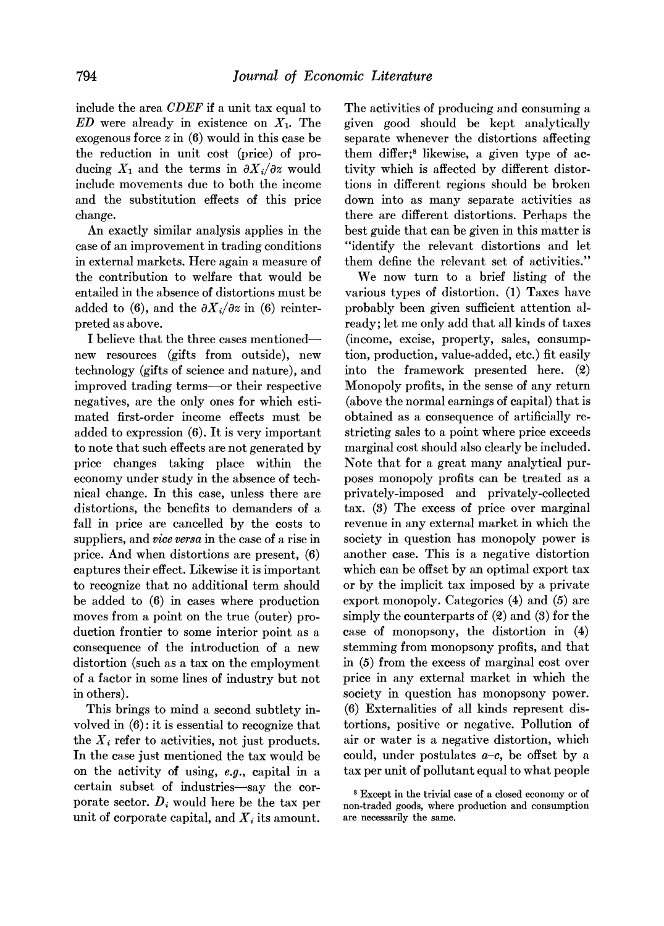**include the area CDEF if a unit tax equal to ED were already in existence on X1. The exogenous force z in (6) would in this case be the reduction in unit cost (price) of pro**ducing  $X_1$  and the terms in  $\partial X_i/\partial z$  would **include movements due to both the income and the substitution effects of this price change.** 

**An exactly similar analysis applies in the case of an improvement in trading conditions in external markets. Here again a measure of the contribution to welfare that would be entailed in the absence of distortions must be**  added to (6), and the  $\partial X_i/\partial z$  in (6) reinter**preted as above.** 

**I believe that the three cases mentionednew resources (gifts from outside), new technology (gifts of science and nature), and improved trading terms-or their respective negatives, are the only ones for which estimated first-order income effects must be added to expression (6). It is very important to note that such effects are not generated by price changes taking place within the economy under study in the absence of technical change. In this case, unless there are distortions, the benefits to demanders of a fall in price are cancelled by the costs to suppliers, and vice versa in the case of a rise in price. And when distortions are present, (6) captures their effect. Likewise it is important to recognize that no additional term should be added to (6) in cases where production moves from a point on the true (outer) production frontier to some interior point as a consequence of the introduction of a new distortion (such as a tax on the employment of a factor in some lines of industry but not in others).** 

**This brings to mind a second subtlety involved in (6): it is essential to recognize that**  the  $X_i$  refer to activities, not just products. **In the case just mentioned the tax would be on the activity of using, e.g., capital in a**  certain subset of industries-say the corporate sector.  $D_i$  would here be the tax per unit of corporate capital, and  $X_i$  its amount.

**The activities of producing and consuming a given good should be kept analytically separate whenever the distortions affecting them differ;8 likewise, a given type of activity which is affected by different distortions in different regions should be broken down into as many separate activities as there are different distortions. Perhaps the best guide that can be given in this matter is "identify the relevant distortions and let them define the relevant set of activities."** 

**We now turn to a brief listing of the various types of distortion. (1) Taxes have probably been given sufficient attention already; let me only add that all kinds of taxes (income, excise, property, sales, consumption, production, value-added, etc.) fit easily into the framework presented here. (2) Monopoly profits, in the sense of any return (above the normal earnings of capital) that is obtained as a consequence of artificially restricting sales to a point where price exceeds marginal cost should also clearly be included. Note that for a great many analytical purposes monopoly profits can be treated as a privately-imposed and privately-collected tax. (3) The excess of price over marginal revenue in any external market in which the society in question has monopoly power is another case. This is a negative distortion which can be offset by an optimal export tax or by the implicit tax imposed by a private export monopoly. Categories (4) and (5) are simply the counterparts of (2) and (3) for the case of monopsony, the distortion in (4) stemming from monopsony profits, and that in (5) from the excess of marginal cost over price in any external market in which the society in question has monopsony power. (6) Externalities of all kinds represent distortions, positive or negative. Pollution of air or water is a negative distortion, which could, under postulates a-c, be offset by a tax per unit of pollutant equal to what people** 

**<sup>8</sup> Except in the trivial case of a closed economy or of non-traded goods, where production and consumption are necessarily the same.**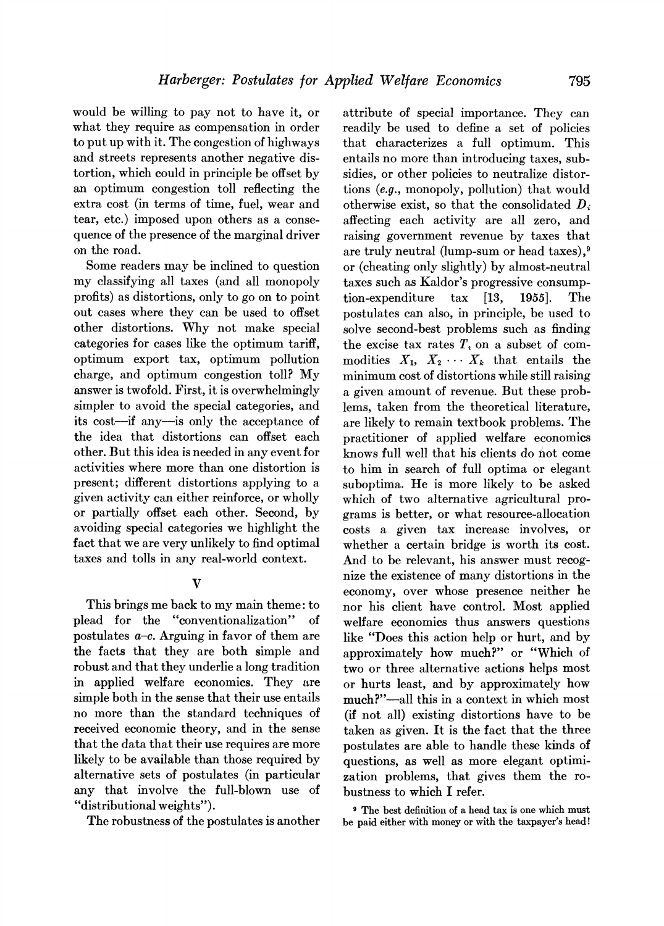**would be willing to pay not to have it, or what they require as compensation in order to put up with it. The congestion of highways and streets represents another negative distortion, which could in principle be offset by an optimum congestion toll reflecting the extra cost (in terms of time, fuel, wear and tear, etc.) imposed upon others as a consequence of the presence of the marginal driver on the road.** 

**Some readers may be inclined to question my classifying all taxes (and all monopoly profits) as distortions, only to go on to point out cases where they can be used to offset other distortions. Why not make special categories for cases like the optimum tariff, optimum export tax, optimum pollution charge, and optimum congestion toll? My answer is twofold. First, it is overwhelmingly simpler to avoid the special categories, and its cost-if any-is only the acceptance of the idea that distortions can offset each other. But this idea is needed in any event for activities where more than one distortion is present; different distortions applying to a given activity can either reinforce, or wholly or partially offset each other. Second, by avoiding special categories we highlight the fact that we are very unlikely to find optimal taxes and tolls in any real-world context.** 

# **V**

**This brings me back to my main theme: to plead for the "conventionalization" of postulates a-c. Arguing in favor of them are the facts that they are both simple and robust and that they underlie a long tradition in applied welfare economics. They are simple both in the sense that their use entails no more than the standard techniques of received economic theory, and in the sense that the data that their use requires are more likely to be available than those required by alternative sets of postulates (in particular any that involve the full-blown use of "distributional weights").** 

**The robustness of the postulates is another** 

**attribute of special importance. They can readily be used to define a set of policies that characterizes a full optimum. This entails no more than introducing taxes, sub**sidies, or other policies to neutralize distor**tions (e.g., monopoly, pollution) that would otherwise exist, so that the consolidated Di affecting each activity are all zero, and raising government revenue by taxes that**  are truly neutral (lump-sum or head taxes),<sup>9</sup> **or (cheating only slightly) by almost-neutral taxes such as Kaldor's progressive consumption-expenditure tax [13, 1955]. The postulates can also, in principle, be used to solve second-best problems such as finding the excise tax rates T, on a subset of com**modities  $X_1$ ,  $X_2 \cdots X_k$  that entails the **minimum cost of distortions while still raising a given amount of revenue. But these problems, taken from the theoretical literature, are likely to remain textbook problems. The practitioner of applied welfare economics knows full well that his clients do not come to him in search of full optima or elegant suboptima. He is more likely to be asked which of two alternative agricultural programs is better, or what resource-allocation costs a given tax increase involves, or whether a certain bridge is worth its cost. And to be relevant, his answer must recognize the existence of many distortions in the economy, over whose presence neither he nor his client have control. Most applied welfare economics thus answers questions like "Does this action help or hurt, and by approximately how much?" or "Which of two or three alternative actions helps most or hurts least, and by approximately how much?"-all this in a context in which most (if not all) existing distortions have to be taken as given. It is the fact that the three postulates are able to handle these kinds of questions, as well as more elegant optimization problems, that gives them the robustness to which I refer.** 

**<sup>I</sup>The best definition of a head tax is one which must be paid either with money or with the taxpayer's head!**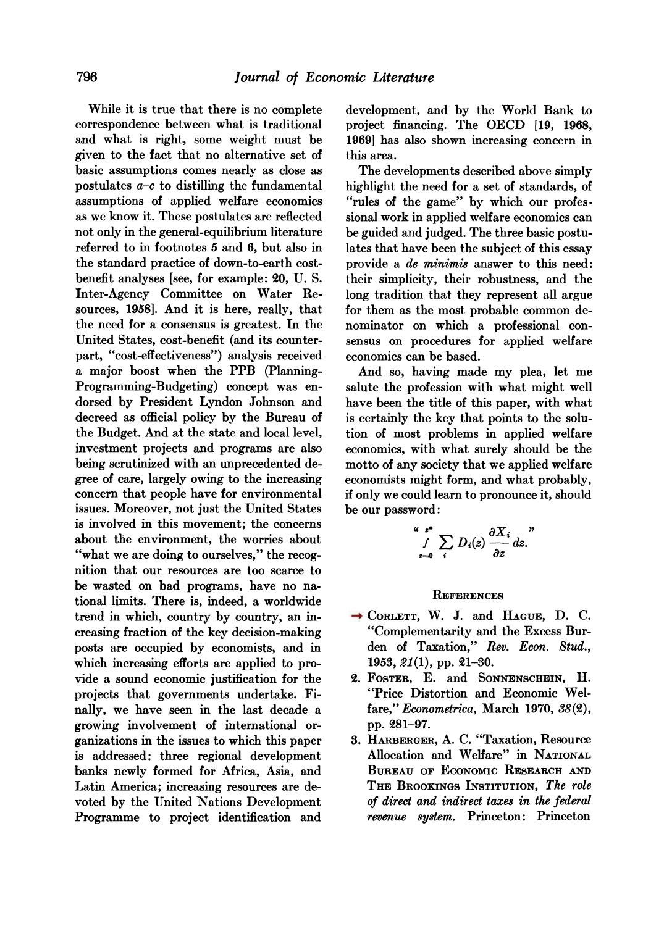**While it is true that there is no complete correspondence between what is traditional and what is right, some weight must be given to the fact that no alternative set of basic assumptions comes nearly as close as postulates a-c to distilling the fundamental assumptions of applied welfare economics as we know it. These postulates are reflected not only in the general-equilibrium literature referred to in footnotes 5 and 6, but also in the standard practice of down-to-earth costbenefit analyses [see, for example: 20, U. S. Inter-Agency Committee on Water Resources, 1958]. And it is here, really, that the need for a consensus is greatest. In the United States, cost-benefit (and its counterpart, "cost-effectiveness") analysis received a major boost when the PPB (Planning-Programming-Budgeting) concept was endorsed by President Lyndon Johnson and decreed as official policy by the Bureau of the Budget. And at the state and local level, investment projects and programs are also being scrutinized with an unprecedented degree of care, largely owing to the increasing concern that people have for environmental issues. Moreover, not just the United States is involved in this movement; the concerns about the environment, the worries about "what we are doing to ourselves," the recognition that our resources are too scarce to be wasted on bad programs, have no national limits. There is, indeed, a worldwide trend in which, country by country, an increasing fraction of the key decision-making posts are occupied by economists, and in which increasing efforts are applied to provide a sound economic justification for the projects that governments undertake. Finally, we have seen in the last decade a growing involvement of international organizations in the issues to which this paper is addressed: three regional development banks newly formed for Africa, Asia, and Latin America; increasing resources are devoted by the United Nations Development Programme to project identification and** 

**development, and by the World Bank to project financing. The OECD [19, 1968, 1969] has also shown increasing concern in this area.** 

**The developments described above simply highlight the need for a set of standards, of "rules of the game" by which our professional work in applied welfare economics can be guided and judged. The three basic postulates that have been the subject of this essay provide a de minimis answer to this need: their simplicity, their robustness, and the long tradition that they represent all argue for them as the most probable common denominator on which a professional consensus on procedures for applied welfare economics can be based.** 

**And so, having made my plea, let me salute the profession with what might well have been the title of this paper, with what is certainly the key that points to the solution of most problems in applied welfare economics, with what surely should be the motto of any society that we applied welfare economists might form, and what probably, if only we could learn to pronounce it, should be our password:** 

$$
\int_{z=0}^{u} \sum_{i} D_i(z) \frac{\partial X_i}{\partial z} dz.
$$

#### **REFERENCES**

- **1. CORLETT, W. J. and HAGUE, D. C. "Complementarity and the Excess Burden of Taxation," Rev. Econ. Stud., 1953, 21(1), pp. e1-30.**
- **2. FOSTER, E. and SONNENSCHEIN, H. "Price Distortion and Economic Welfare," Econometrica, March 1970, 38(2), pp. 281-97.**
- **3. HARBERGER, A. C. "Taxation, Resource Allocation and Welfare" in NATIONAL BUREAU OF ECONOMIC RESEARCH AND THE BROOKINGS INSTITUTION, The role of direct and indirect taxes in the federal revenue system. Princeton: Princeton**